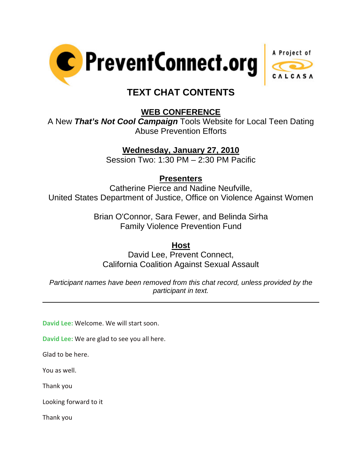



# **TEXT CHAT CONTENTS**

## **WEB CONFERENCE**

A New *That's Not Cool Campaign* Tools Website for Local Teen Dating Abuse Prevention Efforts

## **Wednesday, January 27, 2010**

Session Two: 1:30 PM – 2:30 PM Pacific

### **Presenters**

Catherine Pierce and Nadine Neufville, United States Department of Justice, Office on Violence Against Women

> Brian O'Connor, Sara Fewer, and Belinda Sirha Family Violence Prevention Fund

### **Host**

David Lee, Prevent Connect, California Coalition Against Sexual Assault

*Participant names have been removed from this chat record, unless provided by the participant in text.* 

**David Lee:** Welcome. We will start soon.

**David Lee:** We are glad to see you all here.

Glad to be here.

You as well.

 $\overline{a}$ 

Thank you

Looking forward to it

Thank you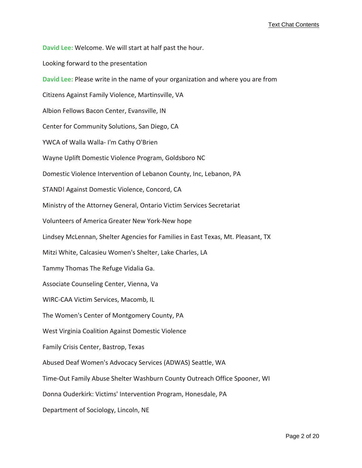**David Lee:** Welcome. We will start at half past the hour.

Looking forward to the presentation

**David Lee:** Please write in the name of your organization and where you are from

Citizens Against Family Violence, Martinsville, VA

Albion Fellows Bacon Center, Evansville, IN

Center for Community Solutions, San Diego, CA

YWCA of Walla Walla-I'm Cathy O'Brien

Wayne Uplift Domestic Violence Program, Goldsboro NC

Domestic Violence Intervention of Lebanon County, Inc, Lebanon, PA

STAND! Against Domestic Violence, Concord, CA

Ministry of the Attorney General, Ontario Victim Services Secretariat

Volunteers of America Greater New York‐New hope

Lindsey McLennan, Shelter Agencies for Families in East Texas, Mt. Pleasant, TX

Mitzi White, Calcasieu Women's Shelter, Lake Charles, LA

Tammy Thomas The Refuge Vidalia Ga.

Associate Counseling Center, Vienna, Va

WIRC‐CAA Victim Services, Macomb, IL

The Women's Center of Montgomery County, PA

West Virginia Coalition Against Domestic Violence

Family Crisis Center, Bastrop, Texas

Abused Deaf Women's Advocacy Services (ADWAS) Seattle, WA

Time‐Out Family Abuse Shelter Washburn County Outreach Office Spooner, WI

Donna Ouderkirk: Victims' Intervention Program, Honesdale, PA

Department of Sociology, Lincoln, NE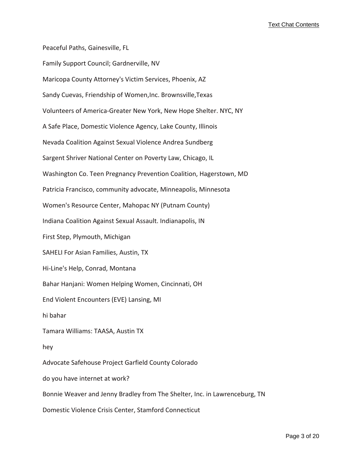Peaceful Paths, Gainesville, FL Family Support Council; Gardnerville, NV Maricopa County Attorney's Victim Services, Phoenix, AZ Sandy Cuevas, Friendship of Women,Inc. Brownsville,Texas Volunteers of America‐Greater New York, New Hope Shelter. NYC, NY A Safe Place, Domestic Violence Agency, Lake County, Illinois Nevada Coalition Against Sexual Violence Andrea Sundberg Sargent Shriver National Center on Poverty Law, Chicago, IL Washington Co. Teen Pregnancy Prevention Coalition, Hagerstown, MD Patricia Francisco, community advocate, Minneapolis, Minnesota Women's Resource Center, Mahopac NY (Putnam County) Indiana Coalition Against Sexual Assault. Indianapolis, IN First Step, Plymouth, Michigan SAHELI For Asian Families, Austin, TX Hi‐Line's Help, Conrad, Montana Bahar Hanjani: Women Helping Women, Cincinnati, OH End Violent Encounters (EVE) Lansing, MI hi bahar Tamara Williams: TAASA, Austin TX hey Advocate Safehouse Project Garfield County Colorado do you have internet at work? Bonnie Weaver and Jenny Bradley from The Shelter, Inc. in Lawrenceburg, TN Domestic Violence Crisis Center, Stamford Connecticut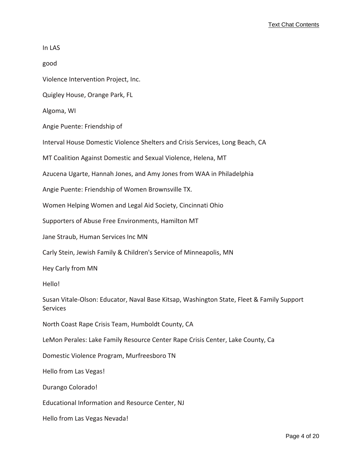| In LAS                                                                                                |
|-------------------------------------------------------------------------------------------------------|
| good                                                                                                  |
| Violence Intervention Project, Inc.                                                                   |
| Quigley House, Orange Park, FL                                                                        |
| Algoma, WI                                                                                            |
| Angie Puente: Friendship of                                                                           |
| Interval House Domestic Violence Shelters and Crisis Services, Long Beach, CA                         |
| MT Coalition Against Domestic and Sexual Violence, Helena, MT                                         |
| Azucena Ugarte, Hannah Jones, and Amy Jones from WAA in Philadelphia                                  |
| Angie Puente: Friendship of Women Brownsville TX.                                                     |
| Women Helping Women and Legal Aid Society, Cincinnati Ohio                                            |
| Supporters of Abuse Free Environments, Hamilton MT                                                    |
| Jane Straub, Human Services Inc MN                                                                    |
| Carly Stein, Jewish Family & Children's Service of Minneapolis, MN                                    |
| Hey Carly from MN                                                                                     |
| Hello!                                                                                                |
| Susan Vitale-Olson: Educator, Naval Base Kitsap, Washington State, Fleet & Family Support<br>Services |
| North Coast Rape Crisis Team, Humboldt County, CA                                                     |
| LeMon Perales: Lake Family Resource Center Rape Crisis Center, Lake County, Ca                        |
| Domestic Violence Program, Murfreesboro TN                                                            |
| Hello from Las Vegas!                                                                                 |
| Durango Colorado!                                                                                     |
| Educational Information and Resource Center, NJ                                                       |
| Hello from Las Vegas Nevada!                                                                          |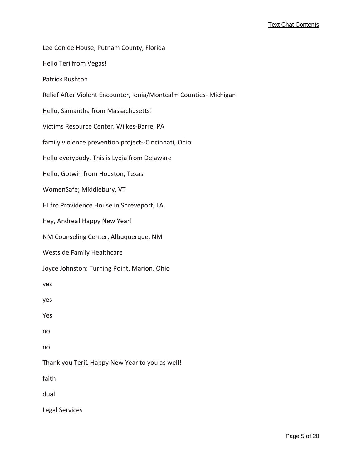Lee Conlee House, Putnam County, Florida Hello Teri from Vegas! Patrick Rushton Relief After Violent Encounter, Ionia/Montcalm Counties‐ Michigan Hello, Samantha from Massachusetts! Victims Resource Center, Wilkes‐Barre, PA family violence prevention project‐‐Cincinnati, Ohio Hello everybody. This is Lydia from Delaware Hello, Gotwin from Houston, Texas WomenSafe; Middlebury, VT HI fro Providence House in Shreveport, LA Hey, Andrea! Happy New Year! NM Counseling Center, Albuquerque, NM Westside Family Healthcare Joyce Johnston: Turning Point, Marion, Ohio yes yes Yes no no Thank you Teri1 Happy New Year to you as well! faith dual Legal Services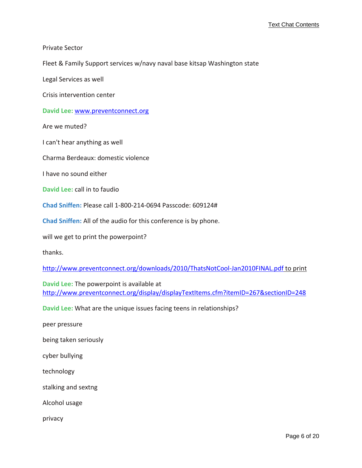Private Sector

Fleet & Family Support services w/navy naval base kitsap Washington state

Legal Services as well

Crisis intervention center

**David Lee:** <www.preventconnect.org>

Are we muted?

I can't hear anything as well

Charma Berdeaux: domestic violence

I have no sound either

**David Lee:** call in to faudio

**Chad Sniffen:** Please call 1‐800‐214‐0694 Passcode: 609124#

**Chad Sniffen:** All of the audio for this conference is by phone.

will we get to print the powerpoint?

thanks.

[http://www.preventconnect.org/downloads/2010/ThatsNotCool](http://www.preventconnect.org/downloads/2010/ThatsNotCool-Jan2010FINAL.pdf)‐Jan2010FINAL.pdf to [print](http://www.preventconnect.org/downloads/2010/ThatsNotCool-Jan2010FINAL.pdf)

**David Lee:** The powerpoint is available at [http://www.preventconnect.org/display/displayTextItems.cfm?itemID=267&sectionID=248](http://www.preventconnect.org/display/displayTextItems.cfm?itemID=267§ionID=248)

**David Lee:** What are the unique issues facing teens in relationships?

peer pressure

being taken seriously

cyber bullying

technology

stalking and sextng

Alcohol usage

privacy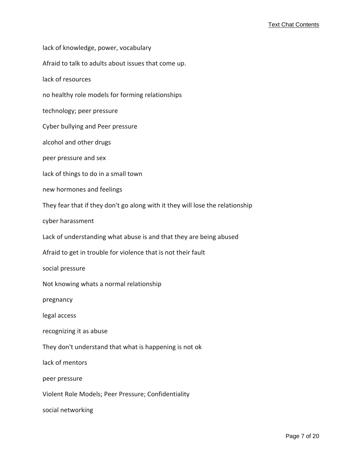lack of knowledge, power, vocabulary Afraid to talk to adults about issues that come up. lack of resources no healthy role models for forming relationships technology; peer pressure Cyber bullying and Peer pressure alcohol and other drugs peer pressure and sex lack of things to do in a small town new hormones and feelings They fear that if they don't go along with it they will lose the relationship cyber harassment Lack of understanding what abuse is and that they are being abused Afraid to get in trouble for violence that is not their fault social pressure Not knowing whats a normal relationship pregnancy legal access recognizing it as abuse They don't understand that what is happening is not ok lack of mentors peer pressure Violent Role Models; Peer Pressure; Confidentiality social networking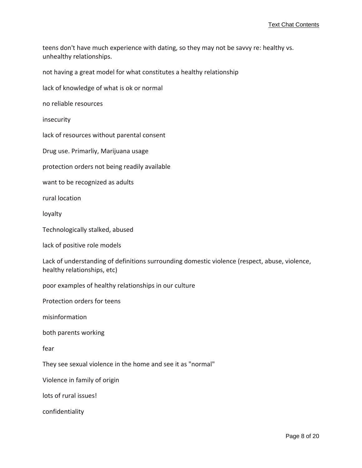teens don't have much experience with dating, so they may not be savvy re: healthy vs. unhealthy relationships.

not having a great model for what constitutes a healthy relationship

lack of knowledge of what is ok or normal

no reliable resources

insecurity

lack of resources without parental consent

Drug use. Primarliy, Marijuana usage

protection orders not being readily available

want to be recognized as adults

rural location

loyalty

Technologically stalked, abused

lack of positive role models

Lack of understanding of definitions surrounding domestic violence (respect, abuse, violence, healthy relationships, etc)

poor examples of healthy relationships in our culture

Protection orders for teens

misinformation

both parents working

fear

They see sexual violence in the home and see it as "normal"

Violence in family of origin

lots of rural issues!

confidentiality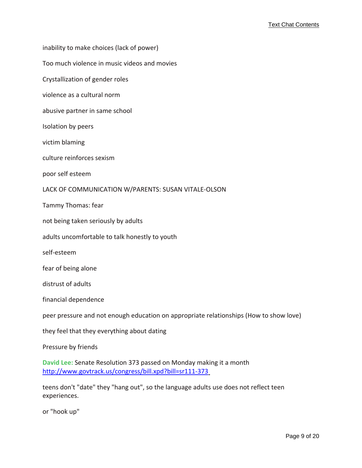inability to make choices (lack of power)

Too much violence in music videos and movies

Crystallization of gender roles

violence as a cultural norm

abusive partner in same school

Isolation by peers

victim blaming

culture reinforces sexism

poor self esteem

LACK OF COMMUNICATION W/PARENTS: SUSAN VITALE‐OLSON

Tammy Thomas: fear

not being taken seriously by adults

adults uncomfortable to talk honestly to youth

self‐esteem

fear of being alone

distrust of adults

financial dependence

peer pressure and not enough education on appropriate relationships (How to show love)

they feel that they everything about dating

Pressure by friends

**David Lee:** Senate Resolution 373 passed on Monday making it a month [http://www.govtrack.us/congress/bill.xpd?bill=sr111](http://www.govtrack.us/congress/bill.xpd?bill=sr111-373)-[3](http://www.govtrack.us/congress/bill.xpd?bill=sr111-373)73

teens don't "date" they "hang out", so the language adults use does not reflect teen experiences.

or "hook up"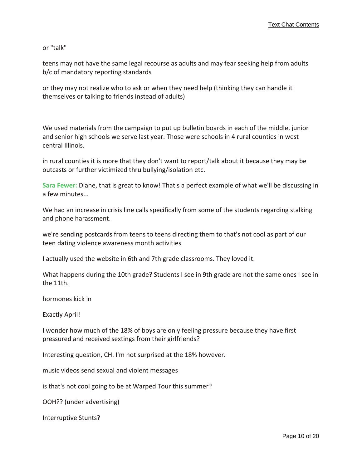or "talk"

teens may not have the same legal recourse as adults and may fear seeking help from adults b/c of mandatory reporting standards

or they may not realize who to ask or when they need help (thinking they can handle it themselves or talking to friends instead of adults)

We used materials from the campaign to put up bulletin boards in each of the middle, junior and senior high schools we serve last year. Those were schools in 4 rural counties in west central Illinois.

in rural counties it is more that they don't want to report/talk about it because they may be outcasts or further victimized thru bullying/isolation etc.

**Sara Fewer:** Diane, that is great to know! That's a perfect example of what we'll be discussing in a few minutes...

We had an increase in crisis line calls specifically from some of the students regarding stalking and phone harassment.

we're sending postcards from teens to teens directing them to that's not cool as part of our teen dating violence awareness month activities

I actually used the website in 6th and 7th grade classrooms. They loved it.

What happens during the 10th grade? Students I see in 9th grade are not the same ones I see in the 11th.

hormones kick in

Exactly April!

I wonder how much of the 18% of boys are only feeling pressure because they have first pressured and received sextings from their girlfriends?

Interesting question, CH. I'm not surprised at the 18% however.

music videos send sexual and violent messages

is that's not cool going to be at Warped Tour this summer?

OOH?? (under advertising)

Interruptive Stunts?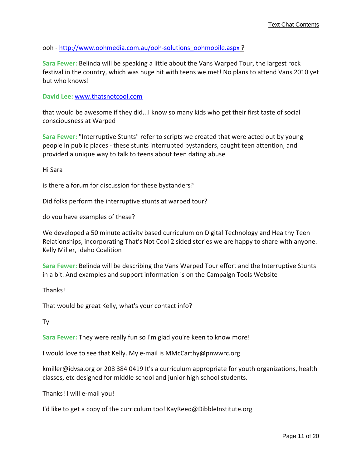ooh - [http://www.oohmedia.com.au/ooh](http://www.oohmedia.com.au/ooh-solutions_oohmobile.aspx)-solutions\_oohmobile.aspx [?](http://www.oohmedia.com.au/ooh-solutions_oohmobile.aspx)

**Sara Fewer:** Belinda will be speaking a little about the Vans Warped Tour, the largest rock festival in the country, which was huge hit with teens we met! No plans to attend Vans 2010 yet but who knows!

#### **David Lee:** <www.thatsnotcool.com>

that would be awesome if they did...I know so many kids who get their first taste of social consciousness at Warped

**Sara Fewer:** "Interruptive Stunts" refer to scripts we created that were acted out by young people in public places ‐ these stunts interrupted bystanders, caught teen attention, and provided a unique way to talk to teens about teen dating abuse

Hi Sara

is there a forum for discussion for these bystanders?

Did folks perform the interruptive stunts at warped tour?

do you have examples of these?

We developed a 50 minute activity based curriculum on Digital Technology and Healthy Teen Relationships, incorporating That's Not Cool 2 sided stories we are happy to share with anyone. Kelly Miller, Idaho Coalition

**Sara Fewer:** Belinda will be describing the Vans Warped Tour effort and the Interruptive Stunts in a bit. And examples and support information is on the Campaign Tools Website

Thanks!

That would be great Kelly, what's your contact info?

Ty

**Sara Fewer:** They were really fun so I'm glad you're keen to know more!

I would love to see that Kelly. My e‐mail is MMcCarthy@pnwwrc.org

kmiller@idvsa.org or 208 384 0419 It's a curriculum appropriate for youth organizations, health classes, etc designed for middle school and junior high school students.

Thanks! I will e‐mail you!

I'd like to get a copy of the curriculum too! KayReed@DibbleInstitute.org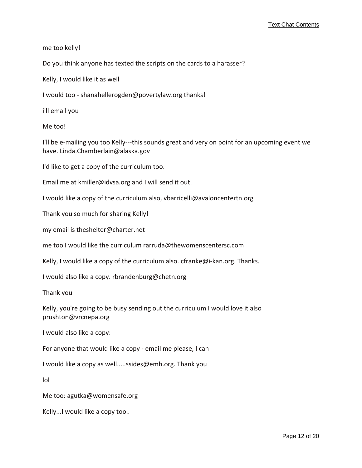me too kelly!

Do you think anyone has texted the scripts on the cards to a harasser?

Kelly, I would like it as well

I would too ‐ shanahellerogden@povertylaw.org thanks!

i'll email you

Me too!

I'll be e‐mailing you too Kelly‐‐‐this sounds great and very on point for an upcoming event we have. Linda.Chamberlain@alaska.gov

I'd like to get a copy of the curriculum too.

Email me at kmiller@idvsa.org and I will send it out.

I would like a copy of the curriculum also, vbarricelli@avaloncentertn.org

Thank you so much for sharing Kelly!

my email is theshelter@charter.net

me too I would like the curriculum rarruda@thewomenscentersc.com

Kelly, I would like a copy of the curriculum also. cfranke@i-kan.org. Thanks.

I would also like a copy. rbrandenburg@chetn.org

Thank you

Kelly, you're going to be busy sending out the curriculum I would love it also prushton@vrcnepa.org

I would also like a copy:

For anyone that would like a copy ‐ email me please, I can

I would like a copy as well.....ssides@emh.org. Thank you

lol

Me too: agutka@womensafe.org

Kelly...I would like a copy too..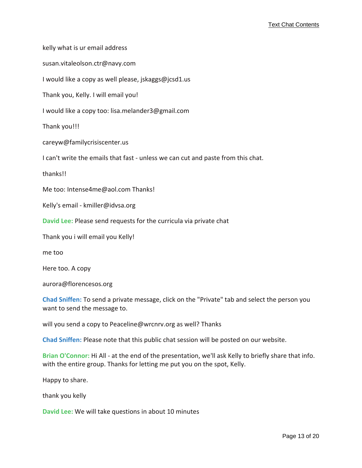kelly what is ur email address susan.vitaleolson.ctr@navy.com I would like a copy as well please, jskaggs@jcsd1.us Thank you, Kelly. I will email you! I would like a copy too: lisa.melander3@gmail.com

Thank you!!!

careyw@familycrisiscenter.us

I can't write the emails that fast - unless we can cut and paste from this chat.

thanks!!

Me too: Intense4me@aol.com Thanks!

Kelly's email ‐ kmiller@idvsa.org

**David Lee:** Please send requests for the curricula via private chat

Thank you i will email you Kelly!

me too

Here too. A copy

aurora@florencesos.org

**Chad Sniffen:** To send a private message, click on the "Private" tab and select the person you want to send the message to.

will you send a copy to Peaceline@wrcnrv.org as well? Thanks

**Chad Sniffen:** Please note that this public chat session will be posted on our website.

**Brian O'Connor:** Hi All ‐ at the end of the presentation, we'll ask Kelly to briefly share that info. with the entire group. Thanks for letting me put you on the spot, Kelly.

Happy to share.

thank you kelly

**David Lee:** We will take questions in about 10 minutes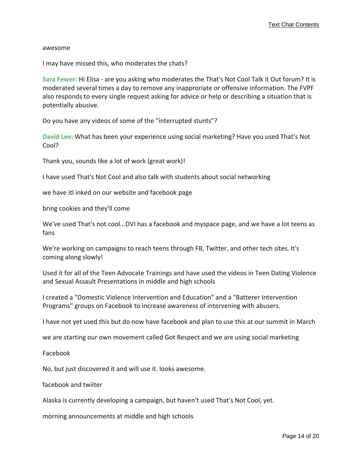#### awesome

I may have missed this, who moderates the chats?

**Sara Fewer:** Hi Elisa ‐ are you asking who moderates the That's Not Cool Talk it Out forum? It is moderated several times a day to remove any inapproriate or offensive information. The FVPF also responds to every single request asking for advice or help or describing a situation that is potentially abusive.

Do you have any videos of some of the "interrupted stunts"?

**David Lee:** What has been your experience using social marketing? Have you used That's Not Cool?

Thank you, sounds like a lot of work (great work)!

I have used That's Not Cool and also talk with students about social networking

we have itl inked on our website and facebook page

bring cookies and they'll come

We've used That's not cool...DVI has a facebook and myspace page, and we have a lot teens as fans

We're working on campaigns to reach teens through FB, Twitter, and other tech sites. It's coming along slowly!

Used it for all of the Teen Advocate Trainings and have used the videos in Teen Dating Violence and Sexual Assault Presentations in middle and high schools

I created a "Domestic Violence Intervention and Education" and a "Batterer Intervention Programs" groups on Facebook to increase awareness of intervening with abusers.

I have not yet used this but do now have facebook and plan to use this at our summit in March

we are starting our own movement called Got Respect and we are using social marketing

Facebook

No, but just discovered it and will use it. looks awesome.

facebook and twiiter

Alaska is currently developing a campaign, but haven't used That's Not Cool, yet.

morning announcements at middle and high schools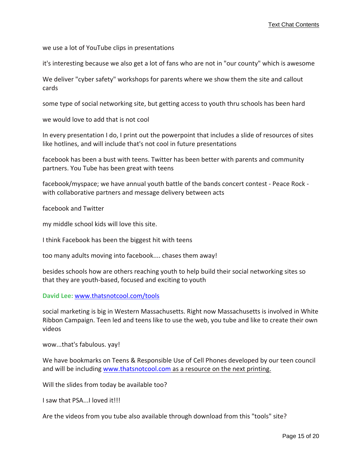we use a lot of YouTube clips in presentations

it's interesting because we also get a lot of fans who are not in "our county" which is awesome

We deliver "cyber safety" workshops for parents where we show them the site and callout cards

some type of social networking site, but getting access to youth thru schools has been hard

we would love to add that is not cool

In every presentation I do, I print out the powerpoint that includes a slide of resources of sites like hotlines, and will include that's not cool in future presentations

facebook has been a bust with teens. Twitter has been better with parents and community partners. You Tube has been great with teens

facebook/myspace; we have annual youth battle of the bands concert contest ‐ Peace Rock ‐ with collaborative partners and message delivery between acts

facebook and Twitter

my middle school kids will love this site.

I think Facebook has been the biggest hit with teens

too many adults moving into facebook.... chases them away!

besides schools how are others reaching youth to help build their social networking sites so that they are youth‐based, focused and exciting to youth

**David Lee:** <www.thatsnotcool.com/tools>

social marketing is big in Western Massachusetts. Right now Massachusetts is involved in White Ribbon Campaign. Teen led and teens like to use the web, you tube and like to create their own videos

wow...that's fabulous. yay!

We have bookmarks on Teens & Responsible Use of Cell Phones developed by our teen council and will be including <www.thatsnotcool.com> as a [resource](www.thatsnotcool.com) on the next printing.

Will the slides from today be available too?

I saw that PSA...I loved it!!!

Are the videos from you tube also available through download from this "tools" site?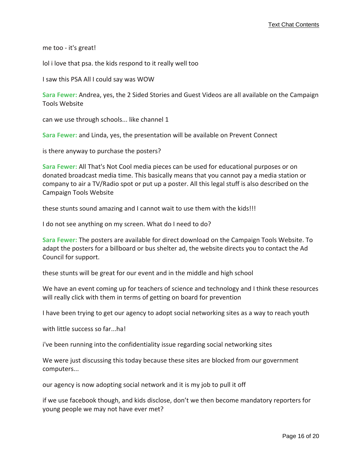me too ‐ it's great!

lol i love that psa. the kids respond to it really well too

I saw this PSA All I could say was WOW

**Sara Fewer:** Andrea, yes, the 2 Sided Stories and Guest Videos are all available on the Campaign Tools Website

can we use through schools... like channel 1

**Sara Fewer:** and Linda, yes, the presentation will be available on Prevent Connect

is there anyway to purchase the posters?

**Sara Fewer:** All That's Not Cool media pieces can be used for educational purposes or on donated broadcast media time. This basically means that you cannot pay a media station or company to air a TV/Radio spot or put up a poster. All this legal stuff is also described on the Campaign Tools Website

these stunts sound amazing and I cannot wait to use them with the kids!!!

I do not see anything on my screen. What do I need to do?

**Sara Fewer:** The posters are available for direct download on the Campaign Tools Website. To adapt the posters for a billboard or bus shelter ad, the website directs you to contact the Ad Council for support.

these stunts will be great for our event and in the middle and high school

We have an event coming up for teachers of science and technology and I think these resources will really click with them in terms of getting on board for prevention

I have been trying to get our agency to adopt social networking sites as a way to reach youth

with little success so far...ha!

i've been running into the confidentiality issue regarding social networking sites

We were just discussing this today because these sites are blocked from our government computers...

our agency is now adopting social network and it is my job to pull it off

if we use facebook though, and kids disclose, don't we then become mandatory reporters for young people we may not have ever met?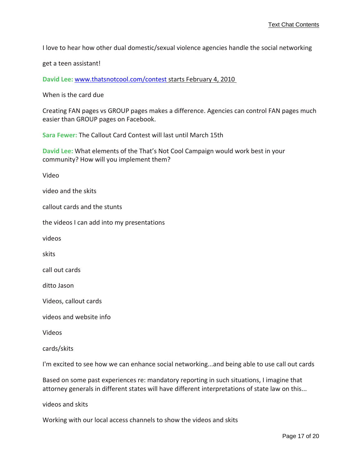I love to hear how other dual domestic/sexual violence agencies handle the social networking

get a teen assistant!

**David Lee:** <www.thatsnotcool.com/contest> starts [February](www.thatsnotcool.com/contest) 4, 2010

When is the card due

Creating FAN pages vs GROUP pages makes a difference. Agencies can control FAN pages much easier than GROUP pages on Facebook.

**Sara Fewer:** The Callout Card Contest will last until March 15th

**David Lee:** What elements of the That's Not Cool Campaign would work best in your community? How will you implement them?

Video

video and the skits

callout cards and the stunts

the videos I can add into my presentations

videos

skits

call out cards

ditto Jason

Videos, callout cards

videos and website info

Videos

cards/skits

I'm excited to see how we can enhance social networking...and being able to use call out cards

Based on some past experiences re: mandatory reporting in such situations, I imagine that attorney generals in different states will have different interpretations of state law on this...

videos and skits

Working with our local access channels to show the videos and skits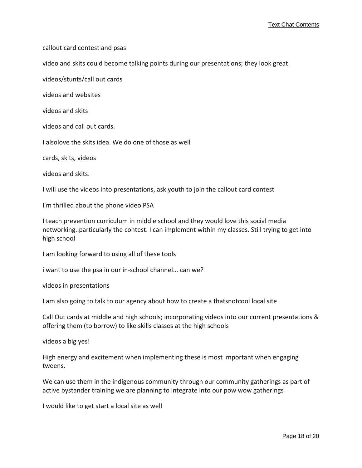callout card contest and psas

video and skits could become talking points during our presentations; they look great

videos/stunts/call out cards

videos and websites

videos and skits

videos and call out cards.

I alsolove the skits idea. We do one of those as well

cards, skits, videos

videos and skits.

I will use the videos into presentations, ask youth to join the callout card contest

I'm thrilled about the phone video PSA

I teach prevention curriculum in middle school and they would love this social media networking..particularly the contest. I can implement within my classes. Still trying to get into high school

I am looking forward to using all of these tools

i want to use the psa in our in‐school channel... can we?

videos in presentations

I am also going to talk to our agency about how to create a thatsnotcool local site

Call Out cards at middle and high schools; incorporating videos into our current presentations & offering them (to borrow) to like skills classes at the high schools

videos a big yes!

High energy and excitement when implementing these is most important when engaging tweens.

We can use them in the indigenous community through our community gatherings as part of active bystander training we are planning to integrate into our pow wow gatherings

I would like to get start a local site as well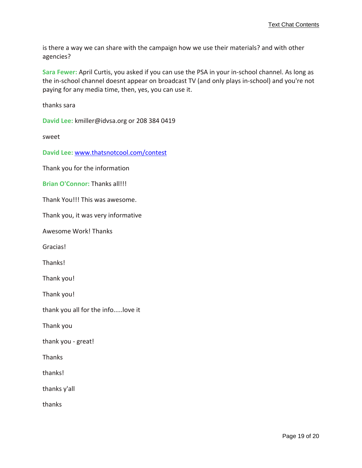is there a way we can share with the campaign how we use their materials? and with other agencies?

**Sara Fewer:** April Curtis, you asked if you can use the PSA in your in‐school channel. As long as the in‐school channel doesnt appear on broadcast TV (and only plays in‐school) and you're not paying for any media time, then, yes, you can use it.

thanks sara

**David Lee:** kmiller@idvsa.org or 208 384 0419

sweet

**David Lee:** <www.thatsnotcool.com/contest>

Thank you for the information

**Brian O'Connor:** Thanks all!!!

Thank You!!! This was awesome.

Thank you, it was very informative

Awesome Work! Thanks

Gracias!

Thanks!

Thank you!

Thank you!

thank you all for the info.....love it

Thank you

thank you ‐ great!

Thanks

thanks!

thanks y'all

thanks